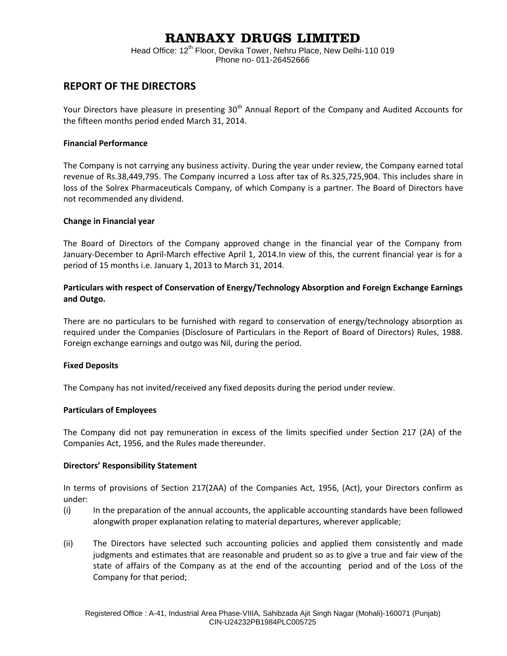# **RANBAXY DRUGS LIMITED**

Head Office: 12<sup>th</sup> Floor, Devika Tower, Nehru Place, New Delhi-110 019 Phone no- 011-26452666

## **REPORT OF THE DIRECTORS**

Your Directors have pleasure in presenting 30<sup>th</sup> Annual Report of the Company and Audited Accounts for the fifteen months period ended March 31, 2014.

### **Financial Performance**

The Company is not carrying any business activity. During the year under review, the Company earned total revenue of Rs.38,449,795. The Company incurred a Loss after tax of Rs.325,725,904. This includes share in loss of the Solrex Pharmaceuticals Company, of which Company is a partner. The Board of Directors have not recommended any dividend.

### **Change in Financial year**

The Board of Directors of the Company approved change in the financial year of the Company from January-December to April-March effective April 1, 2014.In view of this, the current financial year is for a period of 15 months i.e. January 1, 2013 to March 31, 2014.

### **Particulars with respect of Conservation of Energy/Technology Absorption and Foreign Exchange Earnings and Outgo.**

There are no particulars to be furnished with regard to conservation of energy/technology absorption as required under the Companies (Disclosure of Particulars in the Report of Board of Directors) Rules, 1988. Foreign exchange earnings and outgo was Nil, during the period.

### **Fixed Deposits**

The Company has not invited/received any fixed deposits during the period under review.

### **Particulars of Employees**

The Company did not pay remuneration in excess of the limits specified under Section 217 (2A) of the Companies Act, 1956, and the Rules made thereunder.

### **Directors' Responsibility Statement**

In terms of provisions of Section 217(2AA) of the Companies Act, 1956, (Act), your Directors confirm as under:

- (i) In the preparation of the annual accounts, the applicable accounting standards have been followed alongwith proper explanation relating to material departures, wherever applicable;
- (ii) The Directors have selected such accounting policies and applied them consistently and made judgments and estimates that are reasonable and prudent so as to give a true and fair view of the state of affairs of the Company as at the end of the accounting period and of the Loss of the Company for that period;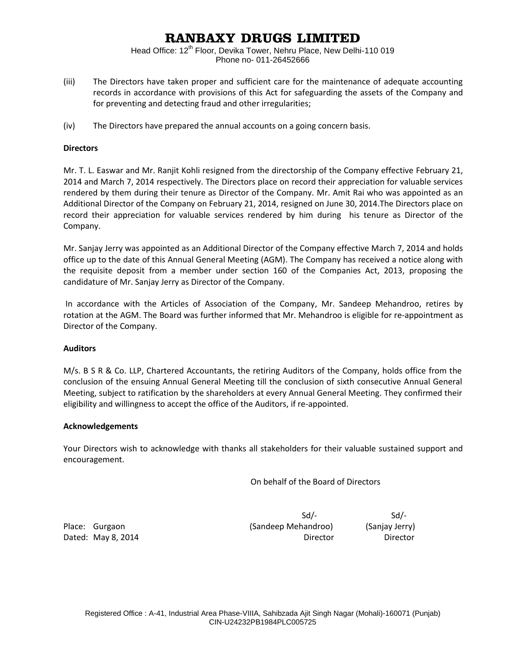# **RANBAXY DRUGS LIMITED**

Head Office: 12<sup>th</sup> Floor, Devika Tower, Nehru Place, New Delhi-110 019 Phone no- 011-26452666

- (iii) The Directors have taken proper and sufficient care for the maintenance of adequate accounting records in accordance with provisions of this Act for safeguarding the assets of the Company and for preventing and detecting fraud and other irregularities;
- (iv) The Directors have prepared the annual accounts on a going concern basis.

### **Directors**

Mr. T. L. Easwar and Mr. Ranjit Kohli resigned from the directorship of the Company effective February 21, 2014 and March 7, 2014 respectively. The Directors place on record their appreciation for valuable services rendered by them during their tenure as Director of the Company. Mr. Amit Rai who was appointed as an Additional Director of the Company on February 21, 2014, resigned on June 30, 2014.The Directors place on record their appreciation for valuable services rendered by him during his tenure as Director of the Company.

Mr. Sanjay Jerry was appointed as an Additional Director of the Company effective March 7, 2014 and holds office up to the date of this Annual General Meeting (AGM). The Company has received a notice along with the requisite deposit from a member under section 160 of the Companies Act, 2013, proposing the candidature of Mr. Sanjay Jerry as Director of the Company.

 In accordance with the Articles of Association of the Company, Mr. Sandeep Mehandroo, retires by rotation at the AGM. The Board was further informed that Mr. Mehandroo is eligible for re-appointment as Director of the Company.

### **Auditors**

M/s. B S R & Co. LLP, Chartered Accountants, the retiring Auditors of the Company, holds office from the conclusion of the ensuing Annual General Meeting till the conclusion of sixth consecutive Annual General Meeting, subject to ratification by the shareholders at every Annual General Meeting. They confirmed their eligibility and willingness to accept the office of the Auditors, if re-appointed.

### **Acknowledgements**

Your Directors wish to acknowledge with thanks all stakeholders for their valuable sustained support and encouragement.

On behalf of the Board of Directors

 $Sd$ - $Sd$ -Place: Gurgaon (Sandeep Mehandroo) (Sanjay Jerry) Dated: May 8, 2014 **Director** Director **Director** Director **Director**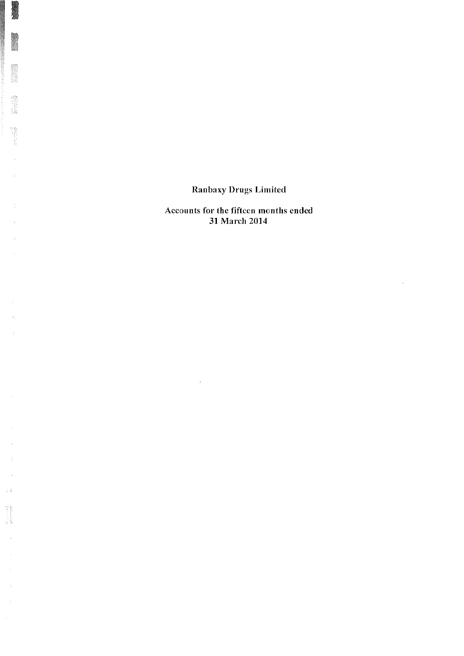$\mathbb{R}^2$ 

l,  $\frac{1}{24}$ 

 $\zeta_{\rm{th}}$  $\frac{1}{N}\frac{5}{M}$ 

 $\begin{array}{l} \mathcal{M}_{\text{max}}(\mathcal{M}_{\text{max}}) \\ \mathcal{M}_{\text{max}}(\mathcal{M}_{\text{max}}) \end{array}$ 

 $\lambda$ 

 $\sim$ 

 $\sim$  4

 $\sim$  :

 $\frac{1}{2}$ 

Accounts for the fifteen months ended 31 March 2014

 $\sim 10^{-1}$ 

 $\sim$ 

 $\sim 10^{-11}$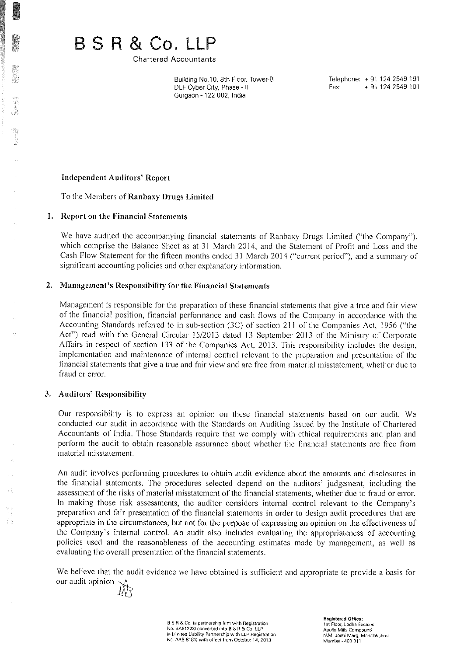BSR&Co.LLP

**Chartered Accountants** 

Building No.10, 8th Floor, Tower-B DLF Cyber City, Phase - II Gurgaon - 122 002, India

Telephone: +91 124 2549 191 Fax: +91 124 2549 101

### **Independent Auditors' Report**

To the Members of Ranbaxy Drugs Limited

### 1. Report on the Financial Statements

We have audited the accompanying financial statements of Ranbaxy Drugs Limited ("the Company"), which comprise the Balance Sheet as at 31 March 2014, and the Statement of Profit and Loss and the Cash Flow Statement for the fifteen months ended 31 March 2014 ("current period"), and a summary of significant accounting policies and other explanatory information.

### 2. Management's Responsibility for the Financial Statements

Management is responsible for the preparation of these financial statements that give a true and fair view of the financial position, financial performance and cash flows of the Company in accordance with the Accounting Standards referred to in sub-section (3C) of section 211 of the Companies Act, 1956 ("the Act") read with the General Circular 15/2013 dated 13 September 2013 of the Ministry of Corporate Affairs in respect of section 133 of the Companies Act, 2013. This responsibility includes the design, implementation and maintenance of internal control relevant to the preparation and presentation of the financial statements that give a true and fair view and are free from material misstatement, whether due to fraud or error.

### 3. Auditors' Responsibility

Our responsibility is to express an opinion on these financial statements based on our audit. We conducted our audit in accordance with the Standards on Auditing issued by the Institute of Chartered Accountants of India. Those Standards require that we comply with ethical requirements and plan and perform the audit to obtain reasonable assurance about whether the financial statements are free from material misstatement.

An audit involves performing procedures to obtain audit evidence about the amounts and disclosures in the financial statements. The procedures selected depend on the auditors' judgement, including the assessment of the risks of material misstatement of the financial statements, whether due to fraud or error. In making those risk assessments, the auditor considers internal control relevant to the Company's preparation and fair presentation of the financial statements in order to design audit procedures that are appropriate in the circumstances, but not for the purpose of expressing an opinion on the effectiveness of the Company's internal control. An audit also includes evaluating the appropriateness of accounting policies used and the reasonableness of the accounting estimates made by management, as well as evaluating the overall presentation of the financial statements.

We believe that the audit evidence we have obtained is sufficient and appropriate to provide a basis for our audit opinion

B S R & Co. (a partnership firm with Registration<br>No. 8A61223) converted into B S R & Co. LLP (a Limited Liability Partnership with LLP Registration No. AAB-8181) with effect from October 14, 2013

**Registered Office** 1st Floor, Lodha Excolus Apollo Mills Compound N.M. Joshi Marg. Mahalakshmi Mumbai - 400 011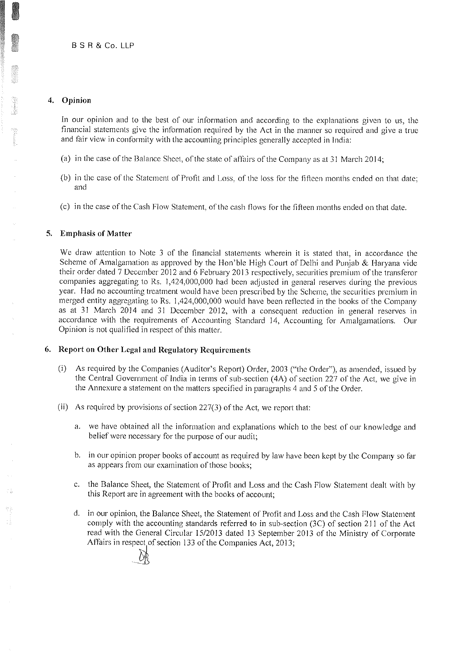### 4. Opinion

In our opinion and to the best of our information and according to the explanations given to us, the financial statements give the information required by the Act in the manner so required and give a true and fair view in conformity with the accounting principles generally accepted in India:

- (a) in the case of the Balance Sheet, of the state of affairs of the Company as at 31 March 2014;
- (b) in the case of the Statement of Profit and Loss, of the loss for the fifteen months ended on that date; and
- (c) in the case of the Cash Flow Statement, of the cash flows for the fifteen months ended on that date.

### 5. Emphasis of Matter

We draw attention to Note 3 of the financial statements wherein it is stated that, in accordance the Scheme of Amalgamation as approved by the Hon'ble High Court of Delhi and Punjab & Haryana vide their order dated 7 December 2012 and 6 February 2013 respectively, securities premium of the transferor companies aggregating to Rs. 1,424,000,000 had been adjusted in general reserves during the previous year. Had no accounting treatment would have been prescribed by the Scheme, the securities premium in merged entity aggregating to Rs. 1,424,000,000 would have been reflected in the books of the Company as at 31 March 2014 and 31 December 2012, with a consequent reduction in general reserves in accordance with the requirements of Accounting Standard 14, Accounting for Amalgamations. Our Opinion is not qualified in respect of this matter.

### 6. Report on Other Legal and Regulatory Requirements

- $(i)$ As required by the Companies (Auditor's Report) Order, 2003 ("the Order"), as amended, issued by the Central Government of India in terms of sub-section (4A) of section 227 of the Act, we give in the Annexure a statement on the matters specified in paragraphs 4 and 5 of the Order.
- (ii) As required by provisions of section 227(3) of the Act, we report that:
	- a. we have obtained all the information and explanations which to the best of our knowledge and belief were necessary for the purpose of our audit;
	- b. in our opinion proper books of account as required by law have been kept by the Company so far as appears from our examination of those books;
	- c. the Balance Sheet, the Statement of Profit and Loss and the Cash Flow Statement dealt with by this Report are in agreement with the books of account;
	- d. in our opinion, the Balance Sheet, the Statement of Profit and Loss and the Cash Flow Statement comply with the accounting standards referred to in sub-section (3C) of section 211 of the Act read with the General Circular 15/2013 dated 13 September 2013 of the Ministry of Corporate Affairs in respect of section 133 of the Companies Act, 2013;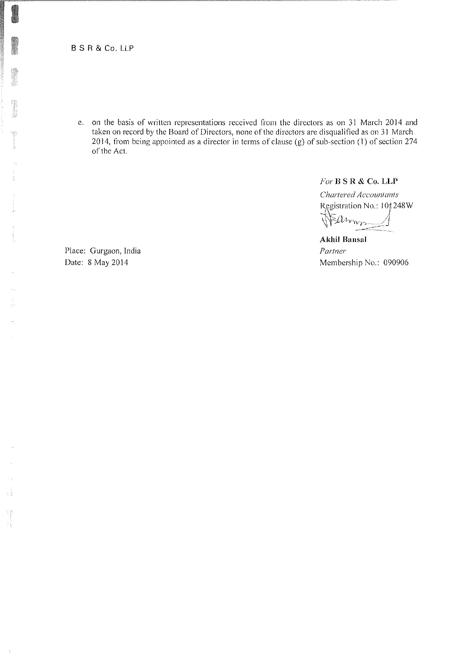B S R & Co. LLP

e. on the basis of written representations received from the directors as on 31 March 2014 and taken on record by the Board of Directors, none of the directors are disqualified as on 31 March 2014, from being appointed as a director in terms of clause (g) of sub-section (1) of section 274 of the Act.

For  $B S R & Co. LLP$ 

Chartered Accountants Registration No.: 10 | 248 W Earnn-Ŋ

**Akhil Bansal** Partner Membership No.: 090906

Place: Gurgaon, India Date: 8 May 2014

들

Ŧģ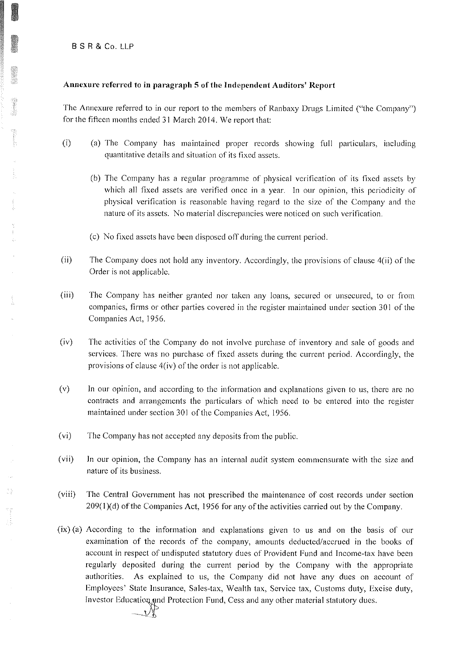**BSR&Co.LLP** 

### Annexure referred to in paragraph 5 of the Independent Auditors' Report

The Annexure referred to in our report to the members of Ranbaxy Drugs Limited ("the Company") for the fifteen months ended 31 March 2014. We report that:

- $(i)$ (a) The Company has maintained proper records showing full particulars, including quantitative details and situation of its fixed assets.
	- (b) The Company has a regular programme of physical verification of its fixed assets by which all fixed assets are verified once in a year. In our opinion, this periodicity of physical verification is reasonable having regard to the size of the Company and the nature of its assets. No material discrepancies were noticed on such verification.
	- (c) No fixed assets have been disposed off during the current period.
- $(ii)$ The Company does not hold any inventory. Accordingly, the provisions of clause 4(ii) of the Order is not applicable.
- $(iii)$ The Company has neither granted nor taken any loans, secured or unsecured, to or from companies, firms or other parties covered in the register maintained under section 301 of the Companies Act, 1956.
- $(iv)$ The activities of the Company do not involve purchase of inventory and sale of goods and services. There was no purchase of fixed assets during the current period. Accordingly, the provisions of clause 4(iv) of the order is not applicable.
- $(v)$ In our opinion, and according to the information and explanations given to us, there are no contracts and arrangements the particulars of which need to be entered into the register maintained under section 301 of the Companies Act, 1956.
- $(v_i)$ The Company has not accepted any deposits from the public.
- In our opinion, the Company has an internal audit system commensurate with the size and  $(vii)$ nature of its business.
- $(viii)$ The Central Government has not prescribed the maintenance of cost records under section 209(1)(d) of the Companies Act, 1956 for any of the activities carried out by the Company.
- (ix) (a) According to the information and explanations given to us and on the basis of our examination of the records of the company, amounts deducted/accrued in the books of account in respect of undisputed statutory dues of Provident Fund and Income-tax have been regularly deposited during the current period by the Company with the appropriate authorities. As explained to us, the Company did not have any dues on account of Employees' State Insurance, Sales-tax, Wealth tax, Service tax, Customs duty, Excise duty, Investor Education and Protection Fund, Cess and any other material statutory dues.

28

33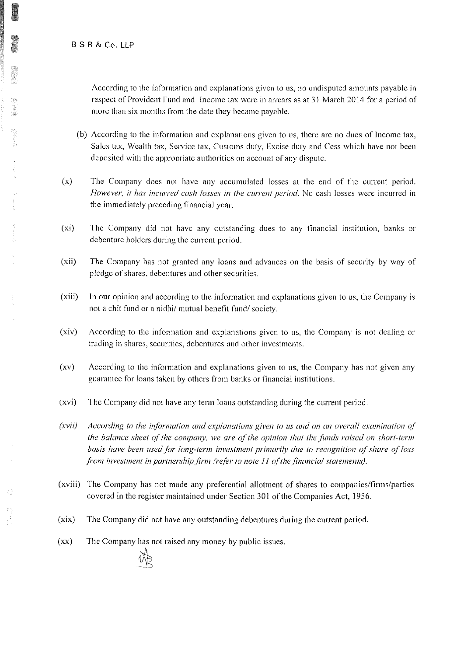### BSR&Co.LLP

According to the information and explanations given to us, no undisputed amounts payable in respect of Provident Fund and Income tax were in arrears as at 31 March 2014 for a period of more than six months from the date they became payable.

- (b) According to the information and explanations given to us, there are no dues of Income tax, Sales tax, Wealth tax, Service tax, Customs duty, Excise duty and Cess which have not been deposited with the appropriate authorities on account of any dispute.
- $(x)$ The Company does not have any accumulated losses at the end of the current period. However, it has incurred cash losses in the current period. No cash losses were incurred in the immediately preceding financial year.
- $(x<sub>i</sub>)$ The Company did not have any outstanding dues to any financial institution, banks or debenture holders during the current period.
- $(xii)$ The Company has not granted any loans and advances on the basis of security by way of pledge of shares, debentures and other securities.
- $(xiii)$ In our opinion and according to the information and explanations given to us, the Company is not a chit fund or a nidhi/ mutual benefit fund/ society.
- $(xiv)$ According to the information and explanations given to us, the Company is not dealing or trading in shares, securities, debentures and other investments.
- $\left( xy\right)$ According to the information and explanations given to us, the Company has not given any guarantee for loans taken by others from banks or financial institutions.
- $(xvi)$ The Company did not have any term loans outstanding during the current period.
- $(xvu)$ According to the information and explanations given to us and on an overall examination of the balance sheet of the company, we are of the opinion that the funds raised on short-term basis have been used for long-term investment primarily due to recognition of share of loss from investment in partnership firm (refer to note 11 of the financial statements).
- (xviii) The Company has not made any preferential allotment of shares to companies/firms/parties covered in the register maintained under Section 301 of the Companies Act, 1956.
- $(xix)$ The Company did not have any outstanding debentures during the current period.
- The Company has not raised any money by public issues.  $(xx)$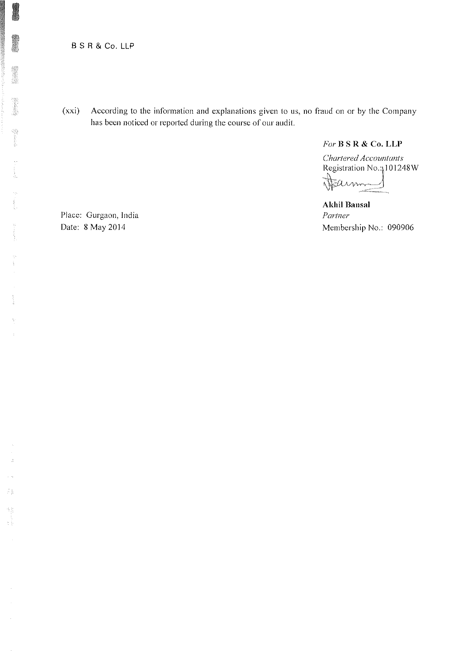### **B S R & Co. LLP**

 $(xxi)$ According to the information and explanations given to us, no fraud on or by the Company has been noticed or reported during the course of our audit.

 $For B S R & Co. LLP$ 

Chartered Accountants Registration No.; 101248W Tearnmen

**Akhil Bansal** Partner Membership No.: 090906

Place: Gurgaon, India Date: 8 May 2014

当音 a)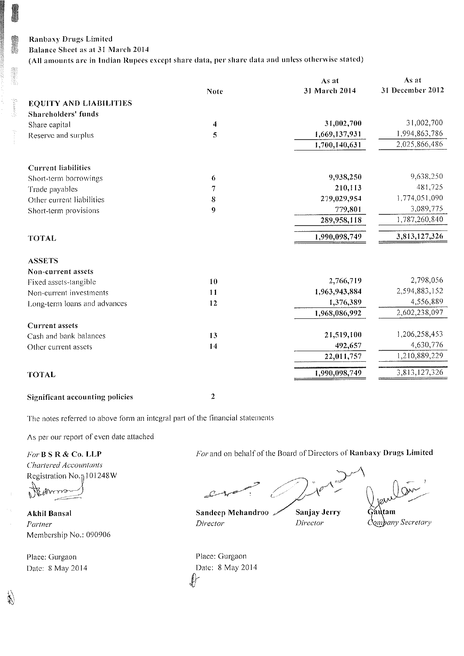## **Ranbaxy Drugs Limited** Balance Sheet as at 31 March 2014

(All amounts are in Indian Rupees except share data, per share data and unless otherwise stated)

|                                        |             | $\Delta s$ at | As at            |
|----------------------------------------|-------------|---------------|------------------|
|                                        | <b>Note</b> | 31 March 2014 | 31 December 2012 |
| <b>EQUITY AND LIABILITIES</b>          |             |               |                  |
| Shareholders' funds                    |             |               |                  |
| Share capital                          | 4           | 31,002,700    | 31,002,700       |
| Reserve and surplus                    | 5           | 1,669,137,931 | 1,994,863,786    |
|                                        |             | 1,700,140,631 | 2,025,866,486    |
|                                        |             |               |                  |
| <b>Current liabilities</b>             |             |               | 9,638,250        |
| Short-term borrowings                  | 6           | 9,938,250     |                  |
| Trade payables                         | 7           | 210,113       | 481,725          |
| Other current liabilities              | 8           | 279,029,954   | 1,774,051,090    |
| Short-term provisions                  | 9           | 779,801       | 3,089,775        |
|                                        |             | 289,958,118   | 1,787,260,840    |
| <b>TOTAL</b>                           |             | 1,990,098,749 | 3,813,127,326    |
| <b>ASSETS</b>                          |             |               |                  |
| Non-current assets                     |             |               |                  |
| Fixed assets-tangible                  | 10          | 2,766,719     | 2,798,056        |
| Non-current investments                | 11          | 1,963,943,884 | 2,594,883,152    |
| Long-term loans and advances           | 12          | 1,376,389     | 4,556,889        |
|                                        |             | 1,968,086,992 | 2,602,238,097    |
| <b>Current</b> assets                  |             |               |                  |
| Cash and bank balances                 | 13          | 21,519,100    | 1,206,258,453    |
| Other current assets                   | 14          | 492,657       | 4,630,776        |
|                                        |             | 22,011,757    | 1,210,889,229    |
| <b>TOTAL</b>                           |             | 1,990,098,749 | 3,813,127,326    |
| <b>Significant accounting policies</b> | 2           |               |                  |

The notes referred to above form an integral part of the financial statements

As per our report of even date attached

For B S R & Co. LLP Chartered Accountants Registration No.<sub>1</sub> 101248W

**Akhil Bansal** Partner Membership No.: 090906

Place: Gurgaon Date: 8 May 2014

Ý,

For and on behalf of the Board of Directors of Ranbaxy Drugs Limited

Sanjay Jerry Director

. Autam Company Secretary

Place: Gurgaon Date: 8 May 2014  $\ell$ 

Director

Sandeep Mehandroo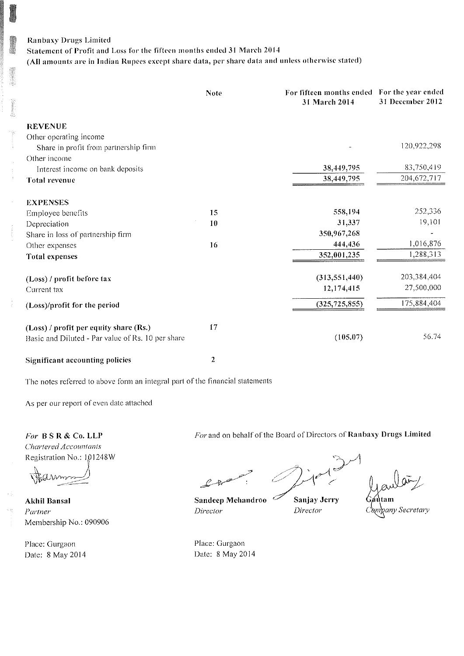Statement of Profit and Loss for the fifteen months ended 31 March 2014

(All amounts are in Indian Rupees except share data, per share data and unless otherwise stated)

|                                                                 | <b>Note</b> | For fifteen months ended For the year ended<br>31 March 2014 | 31 December 2012 |
|-----------------------------------------------------------------|-------------|--------------------------------------------------------------|------------------|
| <b>REVENUE</b>                                                  |             |                                                              |                  |
| Other operating income<br>Share in profit from partnership firm |             |                                                              | 120,922,298      |
| Other income                                                    |             |                                                              |                  |
| Interest income on bank deposits                                |             | 38,449,795                                                   | 83,750,419       |
| Total revenue                                                   |             | 38,449,795                                                   | 204, 672, 717    |
| <b>EXPENSES</b>                                                 |             |                                                              |                  |
| Employee benefits                                               | 15          | 558,194                                                      | 252,336          |
| Depreciation                                                    | 10          | 31,337                                                       | 19,101           |
| Share in loss of partnership firm                               |             | 350,967,268                                                  |                  |
| Other expenses                                                  | 16          | 444,436                                                      | 1,016,876        |
| Total expenses                                                  |             | 352,001,235                                                  | 1,288,313        |
| (Loss) / profit before tax                                      |             | (313, 551, 440)                                              | 203,384,404      |
| Current tax                                                     |             | 12,174,415                                                   | 27,500,000       |
| (Loss)/profit for the period                                    |             | (325, 725, 855)                                              | 175,884,404      |
| (Loss) / profit per equity share (Rs.)                          | 17          |                                                              |                  |
| Basic and Diluted - Par value of Rs. 10 per share               |             | (105.07)                                                     | 56.74            |
| <b>Significant accounting policies</b>                          | 2           |                                                              |                  |

The notes referred to above form an integral part of the financial statements

As per our report of even date attached

For BSR & Co. LLP **Chartered Accountants** Registration No.: 101248W

Υĝ

**Akhil Bansal** Partner Membership No.: 090906

Place: Gurgaon Date: 8 May 2014 For and on behalf of the Board of Directors of Ranbaxy Drugs Limited

Sandeep Mehandroo Ő Director

Sanjay Jerry Director

yany Secretary

Place: Gurgaon Date: 8 May 2014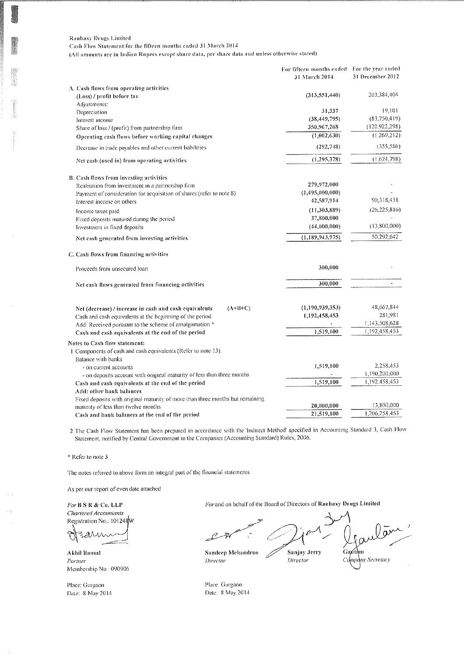Cash Flow Statement for the fifteen months ended 31 March 2014

(All amounts are in Indian Rupees except share data, per share data and unless otherwise stated)

|                                                                                                              | For fifteen months ended For the year ended<br><b>31 March 2014</b> | 31 December 2012      |
|--------------------------------------------------------------------------------------------------------------|---------------------------------------------------------------------|-----------------------|
| A. Cash flows from operating activities                                                                      |                                                                     |                       |
| (Loss) / profit before tax                                                                                   | (313, 551, 440)                                                     | 203,384,404           |
| Adjustments:                                                                                                 |                                                                     |                       |
| Depreciation                                                                                                 | 31,337                                                              | 19.101                |
| Interest income                                                                                              | (38, 449, 795)                                                      | (83,750,419)          |
| Share of loss / (profit) from partnership firm                                                               | 350,967,268                                                         | (120, 922, 298)       |
| Operating cash flows before working capital changes                                                          | (1,002,630)                                                         | (1,269,212)           |
| Decrease in trade payables and other current liabilities                                                     | (292, 748)                                                          | (355, 586)            |
| Net cash (used in) from operating activities                                                                 | (1, 295, 378)                                                       | (1,624,798)           |
| B. Cash flows from investing activities                                                                      |                                                                     |                       |
| Realisation from investment in a partnership firm                                                            | 279,972,000                                                         |                       |
| Payment of consideration for acquisition of shares (refer to note 8)                                         | (1,495,000,000)                                                     |                       |
| Interest income on others                                                                                    | 42,587,914                                                          | 90,318,458            |
| Income taxes paid                                                                                            | (11, 303, 889)                                                      | (26.225, 816)         |
| Fixed deposits matured during the period                                                                     | 37,800,000                                                          |                       |
| Investment in fixed deposits                                                                                 | (44,000,000)                                                        | (13,800,000)          |
| Net cash generated from investing activities                                                                 | (1, 189, 943, 975)                                                  | 50,292,642            |
| C. Cash flows from financing activities                                                                      |                                                                     |                       |
| Proceeds from unsecured loan                                                                                 | 300,000                                                             |                       |
| Net cash flows generated from financing activities                                                           | 300,000                                                             | $\overline{a}$        |
|                                                                                                              |                                                                     |                       |
| $(A+B+C)$<br>Net (decrease) / increase in cash and cash equivalents                                          | (1,190,939,353)                                                     | 48,667,844<br>281,981 |
| Cash and cash equivalents at the beginning of the period                                                     | 1,192,458,453                                                       | 1,143,508,628         |
| Add: Received pursuant to the scheme of amalgamation *<br>Cash and cash equivalents at the end of the period | 1,519,100                                                           | 1,192,458,453         |
|                                                                                                              |                                                                     |                       |
| Notes to Cash flow statement:                                                                                |                                                                     |                       |
| 1 Components of cash and cash equivalents (Refer to note 13):                                                |                                                                     |                       |
| Balance with banks                                                                                           | 1,519,100                                                           | 2,258,453             |
| - on current accounts<br>- on deposits account with original maturity of less than three months              |                                                                     | 1,190,200,000         |
| Cash and cash equivalents at the end of the period                                                           | 1,519,100                                                           | 1,192,458,453         |
| Add: other bank balances                                                                                     |                                                                     |                       |
| Fixed deposits with original maturity of more than three months but remaining                                |                                                                     |                       |
| maturity of less than twelve months                                                                          | 20,000,000                                                          | 13,800,000            |
| Cash and bank balances at the end of the period                                                              | 21,519,100                                                          | 1.206.258,453         |

2 The Cash Flow Statement has been prepared in accordance with the 'Indirect Method' specified in Accounting Standard 3, Cash Flow Statement, notified by Central Government in the Companies (Accounting Standard) Rules, 2006.

\* Refer to note 3

The notes referred to above form an integral part of the financial statements

As per our report of even date attached

 $For$  B S R & Co,  ${\rm LLP}$ Chartered Accountants Registration No.: 101248W

ปิ AМ

Akhil Bansal Parmer Membership No.: 090906

Place: Gurgaon Date: 8 May 2014 For and on behalf of the Board of Directors of Ranbaxy Drugs Limited

Sandeep Mehandroo Director

Sanjay Jerry Director

Gaatam upany Secretary

Place: Gurgaon Date: 8 May 2014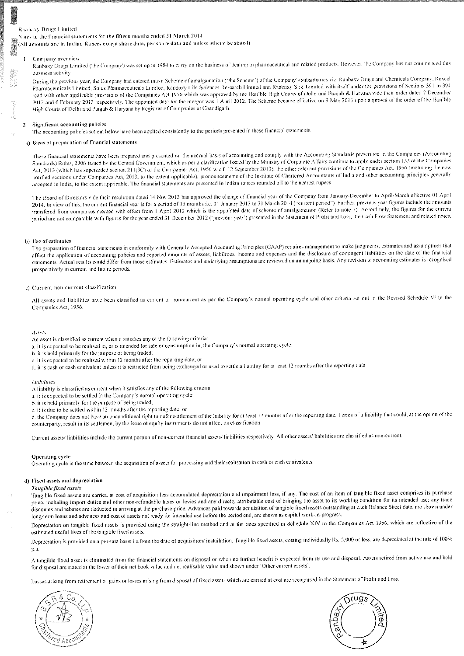Notes to the financial statements for the fifteen months ended 31 March 2014

 $\frac{2}{3}$ (All amounts are in Indian Rupees except share data, per share data and unless otherwise stated)

#### Company overview

Ranbaxy Drugs Limited (the Company) was set up in 1984 to carry on the business of dealing in pharmaceutical and related products. However, the Company has not commenced this business activity

During the previous year, the Company had entered into a Scheme of amalgamation ('the Scheme') of the Company's subsidiaries viz Ranbaxy Drugs and Chemicals Company, Rexcel Pharmaceuticals Limited, Solus Pharmaceuticals Limited, Ranbaxy Life Sciences Research Limited and Ranbaxy SEZ Limited with itself under the provisions of Sections 391 to 394 read with other applicable provisions of the Companies Act 1956 which was approved by the Hon'ble High Courts of Delhi and Punjab & Haryana vide their order dated 7 December 2012 and 6 February 2013 respectively. The appointed date for the merger was 1 April 2012. The Scheme became effective on 9 May 2013 upon approval of the order of the Hon'ble High Courts of Delhi and Punjab & Haryana by Registrar of Companies at Chandigarh.

#### Significant accounting policies

The accounting policies set out below have been applied consistently to the periods presented in these financial statements.

#### a) Basis of preparation of financial statements

These financial statements have been prepared and presented on the accrual basis of accounting and comply with the Accounting Standards prescribed in the Companies (Accounting Standards) Rules, 2006 issued by the Central Government, which as per a clarification issued by the Ministry of Corporate Affairs continue to apply under section 133 of the Companies Act, 2013 (which has superseded section 211(3C) of the Companies Act, 1956 w.e.f. 12 September 2013), the other relevant provisions of the Companies Act, 1956 (including the new notified sections under Companies Act, 2013, to the extent applicable), pronouncements of the Institute of Chartered Accountants of India and other accounting principles generally accepted in India, to the extent applicable. The financial statements are presented in Indian rupees rounded off to the nearest rupees

The Board of Directors vide their resolution dated 14 Nov 2013 has approved the change of financial year of the Company from January-December to April-March effective 01 April 2014. In view of this, the current financial year is for a period of 15 months i.e. 01 January 2013 to 31 March 2014 ("current period") Further, previous year figures include the amounts transfered from companies merged with effect from 1 April 2012 which is the appointed date of scheme of amalgamation (Refer to note 3). Accordingly, the figures for the current period are not comparable with figures for the year ended 31 December 2012 ('previous year') presented in the Statement of Profit and Loss, the Cash Flow Statement and related notes.

#### b) Use of estimates

The preparation of financial statements in conformity with Generally Accepted Accounting Principles (GAAP) requires management to make judgments, estimates and assumptions that affect the application of accounting policies and reported amounts of assets, liabilities, income and expenses and the disclosure of contingent liabilities on the date of the financial statements. Actual results could differ from those estimates. Estimates and underlying assumptions are reviewed on an ongoing basis. Any revision to accounting estimates is recognised prospectively in current and future periods.

#### c) Current-non-current classification

All assets and liabilities have been classified as current or non-current as per the Company's normal operating cycle and other criteria set out in the Revised Schedule VI to the Companies Act, 1956

#### Assets

- An asset is classified as current when it satisfies any of the following criteria:
- a. it is expected to be realised in, or is intended for sale or consumption in, the Company's normal operating cycle;
- b. it is held primarily for the purpose of being traded;
- c, it is expected to be realised within 12 months after the reporting date; or
- d. it is cash or cash equivalent unless it is restricted from being exchanged or used to settle a liability for at least 12 months after the reporting date

#### Labilities

- A liability is classified as current when it satisfies any of the following criteria:
- a. it is expected to be settled in the Company's normal operating cycle;
- b, it is held primarily for the purpose of being traded;
- e, it is due to be settled within 12 months after the reporting date; or

d, the Company does not have an unconditional right to defer settlement of the liability for at least 12 months after the reporting date. Terms of a liability that could, at the option of the counterparty, result in its settlement by the issue of equity instruments do not affect its classification

Current assets/ habilities include the current portion of non-current financial assets/ habilities respectively. All other assets/ habilities are classified as non-current.

#### Operating cycle

Operating cycle is the time between the acquisition of assets for processing and their realisation in cash or cash equivalents.

#### d) Fixed assets and depreciation

#### Tangible fixed assets

Tangible fixed assets are carried at cost of acquisition less accumulated depreciation and impairment loss, if any. The cost of an item of tangible fixed asset comprises its purchase price, including import duties and other non-refundable taxes or levies and any directly attributable cost of bringing the asset to its working condition for its intended use; any trade discounts and rebates are deducted in arriving at the purchase price. Advances paid towards acquisition of tangible fixed assets outstanding at each Balance Sheet date, are shown under long-term loans and advances and cost of assets not ready for intended use before the period end, are shown as capital work-in-progress.

Depreciation on tangible fixed assets is provided using the straight-line method and at the rates specified in Schedule XIV to the Companies Act 1956, which are reflective of the estimated useful lives of the tangible fixed assets.

Depreciation is provided on a pro-rata basis i.e.from the date of acquisition/ installation. Tangible fixed assets, costing individually Rs. 5,000 or less, are depreciated at the rate of 100% p.a.

A tangible fixed asset is climinated from the financial statements on disposal or when no further benefit is expected from its use and disposal. Assets retired from active use and held for disposal are stated at the lower of their net book value and net realisable value and shown under 'Other current assets'.

Losses arising from retirement or gains or losses arising from disposal of fixed assets which are carried at cost are recognised in the Statement of Profit and Loss.



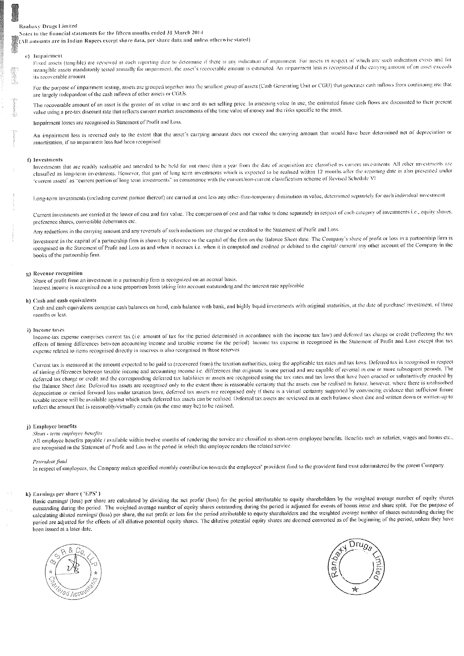Notes to the financial statements for the fifteen months ended 31 March 2014

 $\tilde{\S}(\text{A}\text{B}$  amounts are in Indian Rupees except share data, per share data and unless otherwise stated)

#### e) Impairment

Fixed assets (tangible) are reviewed at each reporting date to determine if there is any indication of impairment. For assets in respect of which any such indication exists and for intangible assets mandatorily tested annually for impairment, the asset's recoverable amount is estimated. An impairment loss is recognised if the carrying amount of an asset exceeds its recoverable amount

For the purpose of impairment testing, assets are grouped together into the smallest group of assets (Cash Generating Unit or CGU) that generates cash inflows from continuing use that are largely independent of the cash inflows of other assets or CGUs.

The recoverable amount of an asset is the greater of its value in use and its net selling price. In assessing value in use, the estimated future cash flows are discounted to their present value using a pre-tax discount rate that reflects current market assessments of the time value of money and the risks specific to the asset.

Impairment losses are recognised in Statement of Profit and Loss.

An impairment loss is reversed only to the extent that the asset's carrying amount does not exceed the carrying amount that would have been determined net of depreciation or amortisation, if no impairment loss had been recognised.

#### f) Investments

Investments that are readily realisable and intended to be held for not more than a year from the date of acquisition are classified as current investments. All other investments are classified as long-term investments. However, that part of long term investments which is expected to be realised within 12 months after the reporting date is also presented under 'current assets' as "current portion of long term investments" in consonance with the current/non-current classification scheme of Revised Schedule VI

Long-term investments (including current portion thereof) are carried at cost less any other-than-temporary diminution in value, determined separately for each individual investment

Current investments are carried at the lower of cost and fair value. The comparison of cost and fair value is done separately in respect of each category of investments i.e., equity shares, preference shares, convertible debentures etc.

Any reductions in the carrying amount and any reversals of such reductions are charged or credited to the Statement of Profit and Loss.

Investment in the capital of a partnership firm is shown by reference to the capital of the firm on the Balance Sheet date. The Company's share of profit or loss in a partnership firm is recognised in the Statement of Profit and Loss as and when it accrues i.e. when it is computed and credited or debited to the capital/ current/ any other account of the Company in the books of the partnership firm.

#### g) Revenue recognition

Share of profit from an investment in a partnership firm is recognized on an accrual basis. Interest income is recognised on a time proportion basis taking into account outstanding and the interest rate applicable.

#### h) Cash and eash equivalents

Cash and cash equivalents comprise cash balances on hand, cash balance with bank, and highly liquid investments with original maturities, at the date of purchase/ investment, of three months or less.

#### i) Income taxes

Income-tax expense comprises current tax (i.e. amount of tax for the period determined in accordance with the income tax law) and deferred tax charge or credit (reflecting the tax effects of timing differences between accounting income and taxable income for the period). Income tax expense is recognised in the Statement of Profit and Loss except that tax expense related to items recognised directly in reserves is also recognised in those reserves.

Current tax is measured at the amount expected to be paid to (recovered from) the taxation authorities, using the applicable tax rates and tax laws. Deferred tax is recognised in respect of timing differences between taxable income and accounting income i.e. differences that originate in one period and are capable of reversal in one or more subsequent periods. The deferred tax charge or credit and the corresponding deferred tax liabilities or assets are recognised using the tax rates and tax laws that have been enacted or substantively enacted by the Balance Sheet date. Deferred tax assets are recognised only to the extent there is reasonable certainty that the assets can be realised in future, however, where there is unabsorbed depreciation or carried forward loss under taxation laws, deferred tax assets are recognised only if there is a virtual certainty supported by convincing evidence that sufficient future taxable income will be available against which such deferred tax assets can be realised. Deferred tax assets are reviewed as at each balance sheet date and written down or written-up to reflect the amount that is reasonably/virtually certain (as the case may be) to be realised.

#### j) Employee benefits

#### Short - term employee benefits

All employee benefits payable / available within twelve months of rendering the service are classified as short-term employee benefits. Benefits such as salaries, wages and bonus etc., are recognised in the Statement of Profit and Loss in the period in which the employee renders the related service.

#### Provident fund

In respect of employees, the Company makes specified monthly contribution towards the employees" provident fund to the provident fund trust administered by the parent Company.

#### k) Earnings per share ('EPS')

Basic carnings/ (loss) per share are calculated by dividing the net profit/ (loss) for the period attributable to equity shareholders by the weighted average number of equity shares outstanding during the period. The weighted average number of equity shares outstanding during the period is adjusted for events of bonus issue and share split. For the purpose of calculating diluted carnings/ (loss) per share, the net profit or loss for the period attributable to equity shareholders and the weighted average number of shares outstanding during the period are adjusted for the effects of all dilutive potential equity shares. The dilutive potential equity shares are deemed converted as of the beginning of the period, unless they have been issued at a later date.



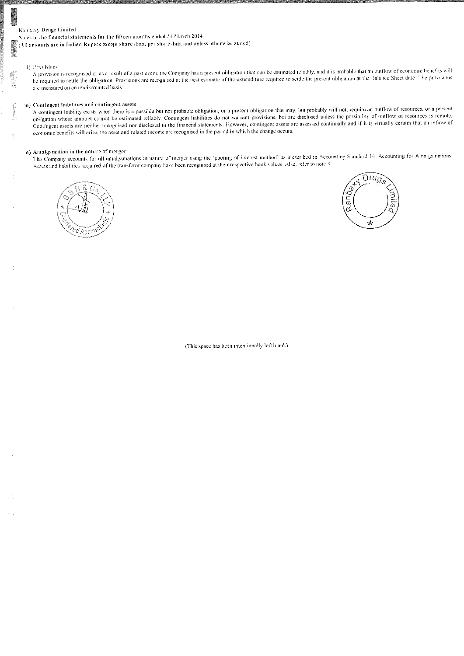Notes to the financial statements for the fifteen months ended 31 March 2014

 $\bigcirc$  (All amounts are in Indian Rupees except share data, per share data and unless otherwise stated)

#### 4) Provisions

A provision is recognised if, as a result of a past event, the Company has a present obligation that can be estimated reliably, and it is probable that an outflow of economic benefits will be required to settle the obligation. Provisions are recognised at the best estimate of the expenditure required to settle the present obligation at the Balance Sheet date. The provisions are measured on an undiscounted basis.

#### m) Contingent liabilities and contingent assets

A contingent liability exists when there is a possible but not probable obligation, or a present obligation that may, but probably will not, require an outflow of resources, or a present obligation whose amount cannot be estimated reliably. Contingent liabilities do not warrant provisions, but are disclosed unless the possibility of outflow of resources is remote. Contingent assets are neither recognised nor disclosed in the financial statements. However, contingent assets are assessed continually and if it is virtually certain that an inflow of economic benefits will arise, the asset and related income are recognised in the period in which the change occurs.

### n) Amalgamation in the nature of merger

The Company accounts for all amalgamations in nature of merger using the 'pooling of interest method' as prescribed in Accounting Standard 14 Accounting for Amalgamations. Assets and liabilities acquired of the transferor company have been recognised at their respective book values. Also, refer to note 3.





(This space has been intentionally left blank)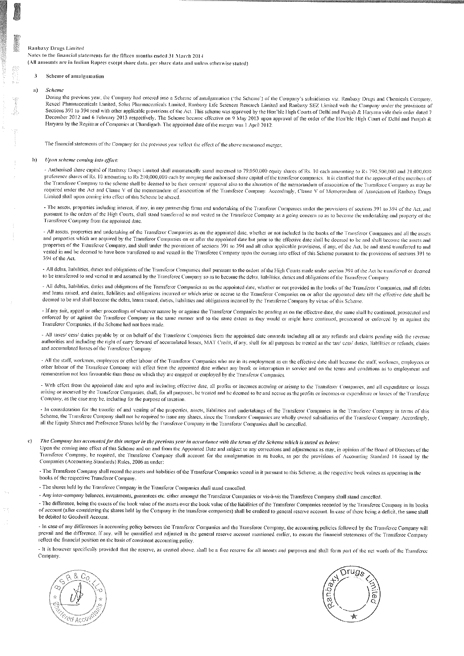Notes to the financial statements for the fifteen months ended 31 March 2014 (All amounts are in Indian Rupees except share data, per share data and unless otherwise stated)

#### 3 Scheme of amalgamation

#### $\mathbf{a}$ Scheme

During the previous year, the Company had entered into a Scheme of amalgamation ('the Scheme') of the Company's subsidiaries viz. Ranbasy Drugs and Chemicals Company, Rexcel Pharmaceuticals Limited, Solus Pharmaceuticals Limited, Ranbaxy Life Sciences Research Limited and Ranbaxy SEZ Limited with the Company under the provisions of Sections 391 to 394 read with other applicable provisions of the Act. This scheme was approved by the Hon'ble High Courts of Delhi and Punjab & Haryana vide their order dated 7 December 2012 and 6 February 2013 respectively. The Scheme became effective on 9 May 2013 upon approval of the order of the Hon'ble High Court of Delhi and Punjab & Haryana by the Registrar of Companies at Chandigarh. The appointed date of the merger was 1 April 2012.

The financial statements of the Company for the previous year reflect the effect of the above mentioned merger.

#### h) Upon scheme coming into effect:

- Authorised share capital of Ranbaxy Drugs Limited shall automatically stand increased to 79,050,000 equity shares of Rs. 10 each amounting to Rs 790,500,000 and 21,000,000 preference shares of Rs. 10 amounting to Rs 210,000,000 each by merging the authorised share capital of the transferor companies. It is clarified that the approval of the members of the Transferee Company to the scheme shall be deemed to be their consent/ approval also to the alteration of the memorandum of association of the Transferee Company as may be required under the Act and Clause V of the memorandum of association of the Transferce Company. Accordingly, Clause V of Memorandum of Association of Ranbaxy Drugs Limited shall upon coming into effect of this Scheme be altered.

- The assets, properties including interest, if any, in any partnership firms and undertaking of the Transferor Companies under the provisions of sections 391 to 394 of the Act, and pursuant to the orders of the High Courts, shall stand transferred to and vested in the Transferce Company as a going concern so as to become the undertaking and property of the Transferce Company from the appointed date

- All assets, properties and undertaking of the Transferor Companies as on the appointed date, whether or not included in the books of the Transferor Companies and all the assets and properties which are acquired by the Transferor Companies on or after the appointed date but prior to the effective date shall be deemed to be and shall become the assets and properties of the Transferce Company, and shall under the provisions of sections 391 to 394 and all other applicable provisions, if any, of the Act, be and stand transferred to and vested in and be deemed to have been transferred to and vested in the Transferee Company upon the coming into effect of this Scheme pursuant to the provisions of sections 391 to 394 of the Act

- All debts, liabilities, duties and obligations of the Transferor Companies shall pursuant to the orders of the High Courts made under section 394 of the Act be transferred or deemed to be transferred to and vested in and assumed by the Transferee Company so as to become the debts, liabilities, duties and obligations of the Transferee Company.

- All debts, liabilities, duties and obligations of the Transferor Companies as on the appointed date, whether or not provided in the books of the Transferor Companies, and all debts and loans raised, and duties, liabilities and obligations incurred or which arise or accrue to the Transferor Companies on or after the appointed date till the effective date shall be deemed to be and shall become the debts, loans raised, duties, liabilities and obligations incurred by the Transferee Company by virtue of this Scheme

- If any suit, appeal or other proceedings of whatever nature by or against the Transferor Companies be pending as on the effective date, the same shall be continued, prosecuted and enforced by or against the Transferee Company in the same manner and to the same extent as they would or might have continued, prosecuted or enforced by or against the Transferor Companies, if the Scheme had not been made.

- All taxes/ cess/ dutics payable by or on behalf of the Transferor Companies from the appointed date onwards including all or any refunds and claims pending with the revenue authorities and including the right of carry forward of accumulated losses, MAT Credit, if any, shall for all purposes be treated as the tax/ cess/ duties, liabilities or refunds, claims and accumulated losses of the Transferce Company

- All the staff, workmen, employees or other labour of the Transferor Companies who are in its employment as on the effective date shall become the staff, workmen, employees or other labour of the Transferce Company with effect from the appointed date without any break or interruption in service and on the terms and conditions as to employment and remuneration not less favourable than those on which they are engaged or employed by the Transferor Companies.

- With effect from the appointed date and upto and including effective date, all profits or incomes accruing or arising to the Transferor Companies, and all expenditure or losses arising or incurred by the Transferor Companies, shall, for all purposes, be treated and be deemed to be and accrue as the profits or incomes or expenditure or losses of the Transferee Company, as the case may be, including for the purpose of taxation.

- In consideration for the transfer of and vesting of the properties, assets, liabilities and undertakings of the Transferor Companies in the Transferee Company in terms of this Scheme, the Transferee Company shall not be required to issue any shares, since the Transferor Companies are wholly owned subsidiaries of the Transferee Company. Accordingly, all the Equity Shares and Preference Shares held by the Transferee Company in the Transferor Companies shall be cancelled.

### The Company has accounted for this merger in the previous year in accordance with the terms of the Scheme which is stated as below:

Upon the coming into effect of this Scheme and on and from the Appointed Date and subject to any corrections and adjustments as may, in opinion of the Board of Directors of the Transferee Company, be required, the Transferee Company shall account for the amalgamation in its books, as per the provisions of Accounting Standard 14 issued by the Companies (Accounting Standards) Rules, 2006 as under:

- The Transferce Company shall record the assets and liabilities of the Transferor Companies vested in it pursuant to this Scheme, at the respective book values as appearing in the books of the respective Transferor Company.

- The shares held by the Transferee Company in the Transferor Companies shall stand cancelled.

- Any inter-company balances, investments, guarantees etc. either amongst the Transferor Companies or vis-a-vis the Transferce Company shall stand cancelled.

- The difference, being the excess of the book value of the assets over the book value of the liabilities of the Transferor Companies recorded by the Transferee Company in its books of account (after considering the shares held by the Company in the transferor companies) shall be credited to general reserve account. In case of there being a deficit, the same shall be debited to Goodwill Account.

- In case of any differences in accounting policy between the Transferor Companies and the Transferee Company, the accounting policies followed by the Transferee Company will prevail and the difference, if any, will be quantified and adjusted in the general reserve account mentioned earlier, to ensure the financial statements of the Transferee Company reflect the financial position on the basis of consistent accounting policy.

- It is however specifically provided that the reserve, as created above, shall be a free reserve for all intents and purposes and shall form part of the net worth of the Transferce Company.



 $\mathbf{c}$ 

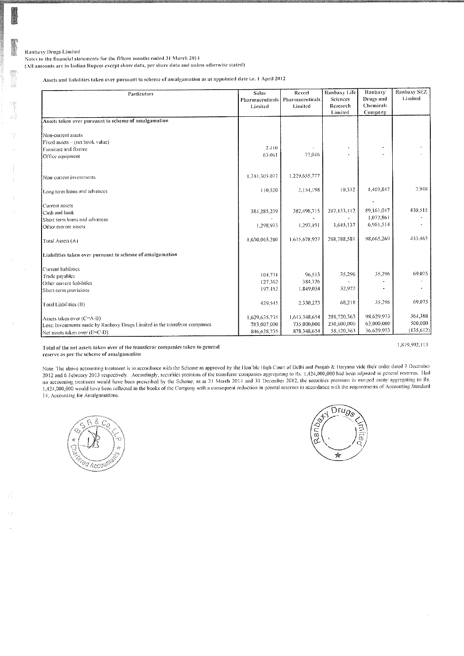h t

Notes to the financial statements for the fifteen months ended 31 March 2014

(All amounts are in Indian Rupees except share data, per share data and unless otherwise stated)

Assets and liabilities taken over pursuant to scheme of amalgamation as at appointed date i.e. 1 April 2012

| Particulars                                                                 | Solus<br><b>Pharmaceuticals</b><br>Limited | Rexcel<br>Pharmaceuticals<br>Limited | Ranbaxy Life<br>Sciences<br>Research<br>Limited | Ranbaxy<br>Drugs and<br><b>Chemicals</b><br>Company | Ranbaxy SEZ<br>Limited |
|-----------------------------------------------------------------------------|--------------------------------------------|--------------------------------------|-------------------------------------------------|-----------------------------------------------------|------------------------|
| Assets taken over pursuant to scheme of amalgamation                        |                                            |                                      |                                                 |                                                     |                        |
| Non-current assets                                                          |                                            |                                      |                                                 |                                                     |                        |
| Fixed assets - (net book value)                                             |                                            |                                      |                                                 |                                                     |                        |
| Furniture and fixture                                                       | 2.410                                      |                                      |                                                 |                                                     |                        |
| Office equipment                                                            | 63,061                                     | 77,046                               |                                                 |                                                     |                        |
| Non-current investments                                                     | 1,244,305,077                              | 1,229,655,777                        |                                                 |                                                     |                        |
| Long term loans and advances                                                | 110,520                                    | 2,154,198                            | 10,332                                          | 1,469,847                                           | 2.948                  |
| Current assets                                                              |                                            |                                      |                                                 |                                                     |                        |
| Cash and bank                                                               | 384,285,239                                | 382, 198, 715                        | 287,133,112                                     | 89.161.047                                          | 430,515                |
| Short term loans and advances                                               |                                            |                                      |                                                 | 1,072,861                                           |                        |
| Other current assets                                                        | 1,298,973                                  | 1,293,191                            | 1,645,137                                       | 6,961,514                                           |                        |
| Total Assets (A)                                                            | 1,630,065,280                              | 1,615,678,927                        | 288,788,581                                     | 98.665.269                                          | 433,463                |
| Liabilities taken over pursuant to scheme of amalgamation                   |                                            |                                      |                                                 |                                                     |                        |
| Current liabilities                                                         |                                            |                                      |                                                 |                                                     |                        |
| Trade payables                                                              | 104,731                                    | 96,513                               | 35,296                                          | 35,296                                              | 69,075                 |
| Other current liabilities                                                   | 127,362                                    | 384,726                              |                                                 |                                                     |                        |
| Short-term provisions                                                       | 197,452                                    | 1,849,034                            | 32,922                                          |                                                     |                        |
| Total Liabilities (B)                                                       | 429,545                                    | 2.330,273                            | 68,218                                          | 35,296                                              | 69,075                 |
| Assets taken over (C=A-B)                                                   | 1,629,635,735                              | 1,613,348,654                        | 288,720,363                                     | 98,629,973                                          | 364,388                |
| Less: Investments made by Ranbaxy Drugs Limited in the transferor companies | 783,007,000                                | 735,000,000                          | 230,600,000                                     | 62.000,000                                          | 500,000                |
| Net assets taken over (E=C-D)                                               | 846,628,735                                | 878,348,654                          | 58,120,363                                      | 36,629,973                                          | (135,612)              |

Total of the net assets taken over of the transferor companies taken to general reserve as per the scheme of amalgamation

1,819,592,113

Note: The above accounting treatment is in accordance with the Scheme as approved by the Hon'ble High Court of Delhi and Punjab & Haryana vide their order dated 7 December 2012 and 6 February 2013 respectively. Accordingly, securities premium of the transferor companies aggregating to Rs. 1,424,000,000 had been adjusted in general reserves. Had the accounting treatment would have been prescribed by the Scheme, as at 31 March 2014 and 31 December 2012, the securities premium in merged entity aggregating to Rs.<br>1,424,000,000 would have been reflected in the books o 14, Accounting for Amalgamations.



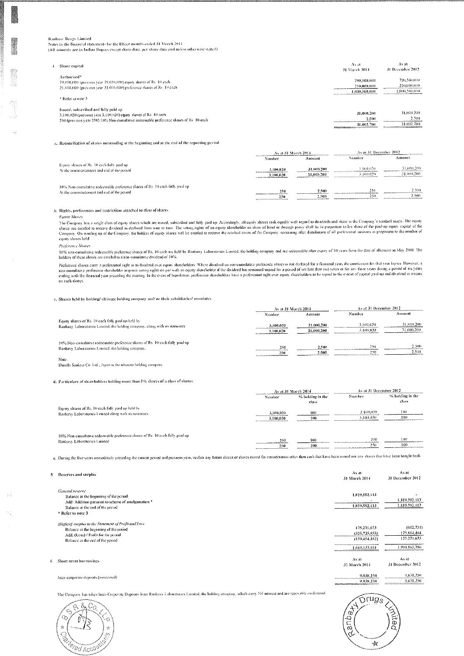Notes to the financial statements for the lifteen months ended 31 March 2014 (All amounts are in Indian Ropees except share data, per share data and unless otherwise stated)

| Share canital                                                                                                                                  | Avat<br><b>Al-March 2014</b> | $75.8$ at<br>-31 December 2012 |
|------------------------------------------------------------------------------------------------------------------------------------------------|------------------------------|--------------------------------|
| Authorised <sup>*</sup>                                                                                                                        | 290.500,000                  | 790,500,000                    |
| 79,050,000 (previous year 79,050,000) equity shares of Rs. 10 each-<br>21,000,000 (previous year 21,000,000) preference shares of Rs. 10 cach- | 210,000,000                  | 210,000,000                    |
|                                                                                                                                                | 1,000,500,000                | 1,000,500,000                  |
| * Refer to note 3.                                                                                                                             |                              |                                |
| Issued, subscribed and fully paid up-                                                                                                          |                              |                                |

| 3.100.020 (previous year 3,100.020) equity shares of Rs. 10 each                       | 31,000,200                                                                                                                                                                                                                                                                                                                                                                                                                                                             | 31.000.200 |
|----------------------------------------------------------------------------------------|------------------------------------------------------------------------------------------------------------------------------------------------------------------------------------------------------------------------------------------------------------------------------------------------------------------------------------------------------------------------------------------------------------------------------------------------------------------------|------------|
| 250 (previous vear 250) 10% Nea-canalative redeemable preference shares of Rs. 10 each | 2.500                                                                                                                                                                                                                                                                                                                                                                                                                                                                  | 2. MU<br>. |
|                                                                                        | 31,002,700                                                                                                                                                                                                                                                                                                                                                                                                                                                             | 31.002.700 |
|                                                                                        | state and an account of the contract of the contract of the contract of the contract of the contract of the contract of the contract of the contract of the contract of the contract of the contract of the contract of the co<br><b>But the first state of the control of the control of the control of the control of the control of the control of the control of the control of the control of the control of the control of the control of the control of the</b> |            |

a. Reconciliation of shares ontstanding at the beginning and at the end of the reporting period

|                                                                               |           | Avail 31 March 2014 |           | As at 31 December 2012. |
|-------------------------------------------------------------------------------|-----------|---------------------|-----------|-------------------------|
|                                                                               | Number    | Amount              | Namber    | Amount                  |
| Equity shares of Rs. 10 each fully paid up-                                   | 3.100.020 | 31,000,200          | 3.100,020 | 31,000,200              |
| At the commencement and end of the period-                                    | 3,100,020 | 31.000.200          | 3.100.020 | 31,000,200              |
| 10% Non-cumulative redeemable preference shares of Rs. 10 each fully paid up- | 250       | 2,500               | 250       | 2.500                   |
| At the commencement and end of the period                                     | 250       | 2,500               | 250       | 2.500                   |

b. Rights, preferences and restrictions attached to class of shares

Equay Shores The Company has a single class of equity shares which are issued, subscribed and fully paid up, Accordingly, all equity shares rank equally with regard to dividends and share in the Company's residual assets. The equity sh equity shares held

**Preference Shares** 

10% non-cumulative redeemable preference shares of Rs. 10 each are held by Ranbaxy Laboratones Lanned, the holding company and are redeemable after expiry of 10 years from the date of allument in May 2008. The holders of these shares are entitled to a non-cumulative dividend of 10%

Preference shares carry a preferential right as to dividend over equity-shareholders. Where divident on non-cumulative preference shares is not declared for a financial year, the entitlement for that year lapses. However, on such shares

c. Shares held by holding/ ultimate holding company and/ or their subsidiaries/ associates

|                                                                                                                                    | As at 31 March 2014    |                          | As at 34 December 2012 |                          |
|------------------------------------------------------------------------------------------------------------------------------------|------------------------|--------------------------|------------------------|--------------------------|
|                                                                                                                                    | Number                 | Amount                   | Number                 | Amount                   |
| Equity shares of Rs. 10 each fully paid up held by<br>Ranbaxy Laboratories Linuted, the holding company, along with its noninees   | 3.100.020<br>3,100,020 | 31.000.200<br>31,000,200 | 3.100.020<br>3.100.020 | 31,000,200<br>31,000,200 |
| 10% Non-cumulative redeemable preference shares of Rs. 10 each fully paid up-<br>Ranbaxy Laboratories Lumred, the holding company. | 250<br><br>250         | 2,500<br>2.500           | 250<br>250             | 2.500<br><br>2.5(k)      |
| Note.                                                                                                                              |                        |                          |                        |                          |

Danchi Sankvo Co. Ltd., Japan is the ultimate holding company

d. Particulars of shareholders holding more than 5% shares of a class of shares

|                                                                              |                 | As at 31 March 2014 | As at 31 December 2012 |                  |  |
|------------------------------------------------------------------------------|-----------------|---------------------|------------------------|------------------|--|
|                                                                              | Number          | % holding in the    | Number                 | % holding in the |  |
|                                                                              |                 | class               |                        | elass.           |  |
| Equity shares of Rs. 10 each fully paid up held by                           |                 |                     |                        |                  |  |
| Ranbaxy Laboratories Limited along with its nominees.                        | 3,100,020       | 100                 | 3.100,020              | 1(风)             |  |
|                                                                              | 3,100,020       | 100                 | 3.100.020              | 1tk)             |  |
|                                                                              |                 |                     |                        |                  |  |
| 10% Non-cumulative redeemable preference shares of Rs. 10 each fully paid up |                 |                     |                        |                  |  |
|                                                                              | 250             | 10O                 | 250                    | 1011             |  |
| Ranbaxy Laboratories Limited                                                 |                 |                     | 250                    | 100              |  |
|                                                                              | 250<br>________ | 100                 |                        |                  |  |

e. During the five years minicilately preceding the current period and previous year, ucuber any bonus shares or shares issued for consideration other than eash that have been issued nor any shares that have been bonglu ba

As at 5 Reserves and surplus 31 March 2014 General reserve 1,819,592,313 Balance at the beginning of the period Add: Addition pursuant to scheme of amalgamation 4 1,819,592,113 Balance at the end of the period \* Refer to note 3 (Deficit) surplus in the Statement of Profit and Loss 175,271,673 Balance at the beginning of the period  $(325, 725, 855)$ Add. (Loss) / Profit for the period  $(150, 454, 182)$ Balance at the end of the period 1,669,137,931 As at 6 Short-term borrowings

The Company has taken Inter-Corporate Deposits from Raubaxy Laboratories Limited, the holding company, which carry Nil interest and are repayable on demand



Inter-corporate deposits (inisecured)

 $\widehat{\mathsf{Drugs}}$ *Feque* ි ₩

9,938,250

9,938,250

31 March 2014

As at

31 December 2012

1.819.592.113

1,819,592,113

 $(612.731)$ 

175,884,404

175,271,673

1.994.863.786

9,638,250

As at

31 December 2012 9,638,250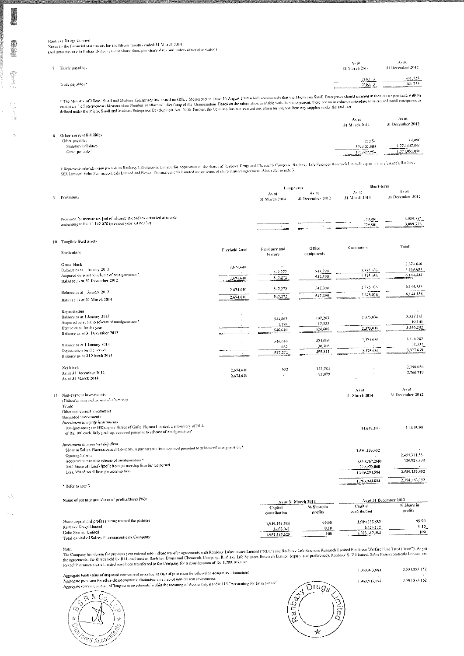Ranbaxy Drugs Limited Notes to the financial statements for the lifteen months ended 31 March 2014

 $\gamma$ 

(All amounts are in Indian Rupeeveveept share data, per share data and unless otherwise stated)

| Trade payables.  | Assit<br>31 March 2014                                                                                                                              | Avat.<br>31 December 2012                           |
|------------------|-----------------------------------------------------------------------------------------------------------------------------------------------------|-----------------------------------------------------|
| Trade payables * | 210,113<br><b>REPORT COMMUNICATIONS INTO A REPORT OF THE REPORT OF THE REAL PROPERTY AND RELEASED FOR THE REAL PROPERTY AND RELEASED</b><br>210.113 | 481,725<br><b>ALCOHOL: A ROCKHANNING</b><br>481,725 |

\* The Munstry of Micro, Small and Medium Enterprises has issued an Office Mento)andum dated 26 August 2018 which recommends that the Micro and Small Enterprises should menton in their correspondence with its<br>customers the

|                                               | As at<br>31 March 2014     | Asat<br>31 December 2012                                                   |
|-----------------------------------------------|----------------------------|----------------------------------------------------------------------------|
| 8 Other current liabilities<br>Other payables | 22,954                     | 44,090                                                                     |
| Statutory habilities<br>Other payable #       | 279,007,000<br>279.029.954 | 1.774.007.000<br>1.774.051.090<br><b>Proprietary and Contract Contract</b> |

# Represents consideration payable to Ranbaxy Laboratories Limited for acquisition of the shares of Ranbaxy Drugs and Chemicals Company. Ranbaxy Life Serences Research Limited requity and preference). Ranbaxy<br>SEZ Limited,

|    |                                                                                                                                                                                                         |               | Long-term                |                           | Short-term             |                                |
|----|---------------------------------------------------------------------------------------------------------------------------------------------------------------------------------------------------------|---------------|--------------------------|---------------------------|------------------------|--------------------------------|
| 9. | Provisions                                                                                                                                                                                              |               | As at<br>31 March 2014   | As at<br>31 December 2012 | As at<br>31 March 2014 | As at<br>31 December 2012      |
|    | Provision for income tax [not of advance tax and tax deducted at source<br>amounting to Rs. 14,102,070 (previous year 7,419,859)]                                                                       |               |                          |                           | 779,801<br>779,801     | 3,089,775<br>3.089.775         |
|    | 10 Tangible fixed assets                                                                                                                                                                                |               |                          |                           |                        | Total                          |
|    | Particulars                                                                                                                                                                                             | Freehold Land | Farniture and<br>Fixture | Office<br>equipments      | <b>Computers</b>       |                                |
|    | <b>Gruss black</b><br>Balance as at 1 January 2012                                                                                                                                                      | 2.674.640     |                          |                           | 2,375,036              | 2,674,640<br>3,469,698         |
|    | Acquired pursuant to scheme of amalgamation *                                                                                                                                                           |               | 547.272<br>547,272       | 547,390<br>547,390        | 2,375,036              | 6,144,338                      |
|    | Balance as at 31 December 2012                                                                                                                                                                          | 2,674,640     |                          |                           |                        |                                |
|    | Balance as at 1 January 2013                                                                                                                                                                            | 2,674,640     | 547,272                  | \$47,390                  | 2,375,036              | 6,144,338                      |
|    | Balance as at 31 March 2014                                                                                                                                                                             | 2,674,640     | 547,272                  | 547,390                   | 2,375,036              | 6.144,338                      |
|    | Depreciation                                                                                                                                                                                            |               |                          | $\ddot{\phantom{0}}$      |                        |                                |
|    | Balance as at 1 January 2012                                                                                                                                                                            |               | 544,862                  | 407,283                   | 2,375,036              | 3.327,181<br>19,101            |
|    | Acquired pursuant to scheme of amalgamation *<br>Depreciation for the year                                                                                                                              |               | 1,778                    | 17,323                    | 2,375,036              | 3,346.282                      |
|    | Balance as at 31 December 2012.                                                                                                                                                                         |               | 546,640                  | 424,606                   |                        |                                |
|    |                                                                                                                                                                                                         |               | 546,640                  | -124,606                  | 2,375,636              | 3,346,282                      |
|    | Balance as at 1 January 2013<br>Depreciation for the period                                                                                                                                             |               | 632                      | 30,705                    | 2,375,036              | 31,337<br>3,377,619            |
|    | Balance as at 31 March 2014                                                                                                                                                                             | .             | 547,272                  | 455.311                   |                        |                                |
|    | Net block                                                                                                                                                                                               | 2,674,640     | 632                      | 122,784                   |                        | 2.798,056                      |
|    | As at 31 December 2012<br>As at 31 March 2014                                                                                                                                                           | 2,674,640     |                          | 92,079                    |                        | 2,766,719                      |
|    |                                                                                                                                                                                                         |               |                          |                           | Asat                   | Avat                           |
| 11 | Non-current investments<br>(Valued at cost unless stated otherwise)                                                                                                                                     |               |                          |                           | 31 March 2014          | 34 December 2012               |
|    | Trade                                                                                                                                                                                                   |               |                          |                           |                        |                                |
|    | Other non-current investments<br><b>Umpoted investments</b>                                                                                                                                             |               |                          |                           |                        |                                |
|    | Investment in equity instruments<br>100 (previous year 100) equity shares of Gafic Pharma Limited, a subsidiary of RLL.<br>of Rs. 100 cach, fully paid-up, acquired pursuant to scheme of amalgamation* |               |                          |                           | 14,649,300             | 14,649,300                     |
|    | Investment in a partnership firm<br>Share in Solrex Pharmaceutical Company, a partnership firm acquired pursuant to scheme of amalgamation *                                                            |               |                          |                           | 2,580,233,852          |                                |
|    | Opening balance<br>Acquired pursuant to scheme of amalgamation *                                                                                                                                        |               |                          |                           | (350, 967, 268)        | 2,459.311.554<br>120,922,298   |
|    | Add Share of (Loss) /profit from partnership firm for the period                                                                                                                                        |               |                          |                           | 279-972-000            |                                |
|    | Less. Withdrawal from partnership firm                                                                                                                                                                  |               |                          |                           | 1,949,294,584          | 2,580,233,852<br>2,594,883,152 |
|    | Refer to note 3                                                                                                                                                                                         |               |                          |                           | 1,963,943,884          |                                |
|    | Name of partner and share of profits/(loss) (%):                                                                                                                                                        |               |                          | As at 31 March 2014       | As at 31 December 2012 |                                |
|    |                                                                                                                                                                                                         |               | Capital                  | % Share in                | Capital                | % Share in                     |
|    |                                                                                                                                                                                                         |               | contribution             | profits                   | contribution           | profits                        |
|    | Name, capital and profits sharing ratio of the partners :                                                                                                                                               |               | 1,949,294,584            | 99.90                     | 2,580,233,852          | 99.90                          |
|    | Ranbaxy Drugs Limited                                                                                                                                                                                   |               | 3,053,041                | 0, 10                     | 3,434,132              | 0.10                           |
|    | Gafic Phanna Limited<br>Total canital of Solem. Pharmaceuticuls Cumuany                                                                                                                                 |               | 1,952,347,625            | 100                       | 2,583,667,984          | 100                            |

Total capital of Solrex Pharmaceaticals Company

roue.<br>The Company had during the previous year entered into a share transfer agreements with Ranhaxy Laboratores Lumied ("RLL") and Ranhaxy Life Sciences Research Lumited Employee Welfare Fund Trust ("trust"). As per<br>the a

Aggregate book value of unquoted non-current investments (net of provision for other-dian-temporary diminution)<br>Aggregate provision for other-than-temporary diminution in value of non-current investments<br>Aggregate carrying





| 1.963.943.884 | 2.594.883.152 |
|---------------|---------------|
| ٠             |               |
| 1.96, 94, 884 | 2.594.883.152 |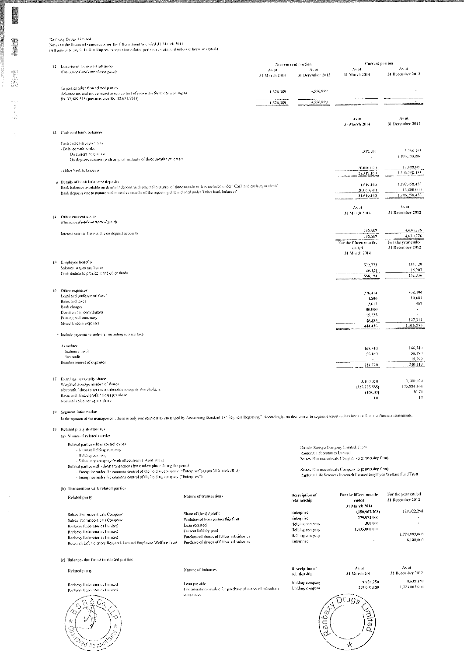$\frac{1}{2}$  and  $\frac{1}{2}$ 

 $\mathcal{A}^{\mathcal{A}}$ 

Ranbaxy Drugs Limited<br>Notes to the financial statements for the lifteen months coded 31 March 2014<br>(All amounts are in Indian Rupees except share data, per share data and unless otherwise stated)

|    | 12 Long-term loans and advances<br>(Univertical and considered gaind)                                                                                                                                                                         |                                                                            | Non-current portion<br>As it<br>31 March 2014 | As at<br>31 December 2012                           | Current portion<br>Asht<br>31 March 2014                                                    | As at<br>31 December 2012                |  |
|----|-----------------------------------------------------------------------------------------------------------------------------------------------------------------------------------------------------------------------------------------------|----------------------------------------------------------------------------|-----------------------------------------------|-----------------------------------------------------|---------------------------------------------------------------------------------------------|------------------------------------------|--|
|    | To parties office than related parties<br>Advance tax and tax deducted at source [net of provision for tax amounting to<br>Rs. 37,589,573 (previous year Rs. 48,671,751)]                                                                     |                                                                            | 1.376.389                                     | 4,556,889                                           |                                                                                             |                                          |  |
|    |                                                                                                                                                                                                                                               |                                                                            | 1,376,389                                     | 4,556,889                                           | $\cdot$                                                                                     |                                          |  |
|    |                                                                                                                                                                                                                                               |                                                                            |                                               |                                                     | As at<br>31 March 2014                                                                      | As at<br>31 December 2012                |  |
|    | 13 Cash and bank balances                                                                                                                                                                                                                     |                                                                            |                                               |                                                     |                                                                                             |                                          |  |
|    | Cash and cash coun alents<br>- Balance with banks<br>On current accounts a<br>On deposits account (with original maturity of three months or less) a                                                                                          |                                                                            |                                               |                                                     | 1.519,100                                                                                   | 2,258,453<br>1,190,200,000               |  |
|    | - Office frank balances o                                                                                                                                                                                                                     |                                                                            |                                               |                                                     | 20,000,000<br>21,519,100                                                                    | 13,800,000<br>1,206,258,453              |  |
|    | $a$ Details of hank halances/ deposits<br>Bank balances available on demand/deposit with original maturity of three months or less included under. Cash and cash equivalents'                                                                 |                                                                            |                                               |                                                     | 1,519,100                                                                                   | 1,192,458,453                            |  |
|    | Bank deposits due to mature within twelve months of the reporting date included under 'Other bank balances'                                                                                                                                   |                                                                            |                                               |                                                     | 20,000,000<br>21.519,108                                                                    | 13 SOD OHD<br>1.206.258.453              |  |
| 14 | Other current assets                                                                                                                                                                                                                          |                                                                            |                                               |                                                     | Av at<br>31 March 2014                                                                      | As at<br>31 December 2012                |  |
|    | (Universed and considered guad)                                                                                                                                                                                                               |                                                                            |                                               |                                                     |                                                                                             |                                          |  |
|    | Interest accrued but not due ou deposit accounts                                                                                                                                                                                              |                                                                            |                                               |                                                     | 492,657<br>492,657                                                                          | 4.630.776<br>4.630.776                   |  |
|    |                                                                                                                                                                                                                                               |                                                                            |                                               |                                                     | For the fifteen months<br>ended                                                             | For the year ended<br>31 December 2012   |  |
|    | 15 Employee benefits                                                                                                                                                                                                                          |                                                                            |                                               |                                                     | 31 March 2014                                                                               |                                          |  |
|    | Salaries, wages and bonus                                                                                                                                                                                                                     |                                                                            |                                               |                                                     | 522,773<br>35,421                                                                           | 234,129<br>15,207                        |  |
|    | Contribution to provident and other funds                                                                                                                                                                                                     |                                                                            |                                               |                                                     | 558,194<br>----------------                                                                 | 252,336                                  |  |
|    | 16 Other expenses                                                                                                                                                                                                                             |                                                                            |                                               |                                                     | 276,414                                                                                     | 858,490                                  |  |
|    | Legal and professional fees *<br>Rates and taxes.                                                                                                                                                                                             |                                                                            |                                               |                                                     | 4,800<br>2,612                                                                              | 10,60,<br>469                            |  |
|    | Bank charges<br>Denation and contribution                                                                                                                                                                                                     |                                                                            |                                               |                                                     | 100,000<br>15.225                                                                           |                                          |  |
|    | Printing and stationary<br>Miscellaneous expenses                                                                                                                                                                                             |                                                                            |                                               |                                                     | 45,385                                                                                      | 147,314<br>1,016,876                     |  |
|    | * Include payment to auditors (including service tax)                                                                                                                                                                                         |                                                                            |                                               |                                                     | $+44, +36$                                                                                  |                                          |  |
|    | As auditor                                                                                                                                                                                                                                    |                                                                            |                                               |                                                     | 168,540                                                                                     | 168,540                                  |  |
|    | Statutory and it<br>Tax audit                                                                                                                                                                                                                 |                                                                            |                                               |                                                     | 56,180                                                                                      | 56,180<br>15.399                         |  |
|    | Remaintscinent of expenses                                                                                                                                                                                                                    |                                                                            |                                               |                                                     | 224,720                                                                                     | 240,119                                  |  |
|    | 17 Earnings per equity share<br>Weighted average number of shares<br>Net profit / (loss) after tax attributable to equity shareholders<br>Basic and diluted profit / (loss) per share<br>Nounnal value per equity share                       |                                                                            |                                               |                                                     | 3,100,020<br>(325, 725, 855)<br>(105.07)<br>10                                              | 3,100,020<br>175-884-404<br>56.74<br>-10 |  |
|    | 18 Segment information<br>In the opinion of the management, there is only one segment as envisaged by Accounting Standard 17 "Segment Reporting". Accordingly, no disclosure for segment reporting has been made in the financial statements. |                                                                            |                                               |                                                     |                                                                                             |                                          |  |
|    | 19 Related party divelosures<br>(a) Names of related parties                                                                                                                                                                                  |                                                                            |                                               |                                                     |                                                                                             |                                          |  |
|    | Related parties where control exists                                                                                                                                                                                                          |                                                                            |                                               |                                                     |                                                                                             |                                          |  |
|    | - Ultimate holding company<br>- Holding company                                                                                                                                                                                               |                                                                            |                                               | Raubaxy Laboratories Lunited                        | Danchi Sankyo Company Lunited, Japan<br>Solrex Pharmaceuticals Company (a partnership firm) |                                          |  |
|    | - Subsidiary company (with effect from 1 April 2012)<br>Related parties with whom transactions have taken place during the period:<br>- Enterprise under the common control of the holding company ("Enterprise") (upto 31 March 2012)        |                                                                            |                                               | Sofrex Pharmaceuticals Company (a partnership firm) |                                                                                             |                                          |  |
|    | - Enterprise under the common control of the holding company ("Enterprise")                                                                                                                                                                   |                                                                            |                                               |                                                     | Ranbaxy Life Sciences Research Linuted Employee Welfare Fund Trust                          |                                          |  |
|    | (b) Transactions with related parties<br>Related party                                                                                                                                                                                        | Nature of transactions                                                     |                                               | Description of                                      | For the fifteen months                                                                      | For the year ended                       |  |
|    |                                                                                                                                                                                                                                               |                                                                            |                                               | relationship                                        | ended<br>31 March 2014                                                                      | 31 December 2012                         |  |
|    | Solrex Pharmaceuticals Company                                                                                                                                                                                                                | Share of (loss) / profit                                                   |                                               | Enterprise                                          | (350, 967, 268)<br>279,972,000                                                              | 120.922.298                              |  |
|    | Solrex Pharmaceuticals Company<br>Ranbaxy Laboratories Limited                                                                                                                                                                                | Withdrawal from partnership firm<br>Loan received                          |                                               | Enterprise<br>Holding company                       | 300,000                                                                                     |                                          |  |
|    | Ranbaxy Laboratories Limited<br>Ranbass Laboratories Linnted                                                                                                                                                                                  | Current liability paid<br>Purchase of shares of fellow subsidiaries        |                                               | Holding company<br>Holding company                  | 1,495,000,000                                                                               | $\cdot$<br>1,774,007,000                 |  |
|    | Research Life Sciences Research Limited Employee Welfare Trust                                                                                                                                                                                | Purchase of shares of fellow subsidiaries                                  |                                               | Enterprise                                          |                                                                                             | 6,100,000                                |  |
|    | (c) Balances due front/ to related parties                                                                                                                                                                                                    |                                                                            |                                               |                                                     |                                                                                             |                                          |  |
|    | Related party                                                                                                                                                                                                                                 | Nature of balances                                                         |                                               | Description of<br>relationship                      | As at<br>31 March 2014                                                                      | As at<br>31 December 2012                |  |
|    | Ranbaxy Laboratories Limited                                                                                                                                                                                                                  | Loan payable<br>Consideration payable for purchase of shares of subsidiary |                                               | Holding company<br>Holding company                  | 9,938,250<br>279,007,000                                                                    | 9,638,250<br>1,774,007,000               |  |
|    | Ranbasy Laboratories Limited<br>いの<br>穴                                                                                                                                                                                                       | companies                                                                  |                                               | ٥<br>c<br>Ø                                         | $\mathfrak{Im}$ u $g_{\mathcal{S}}$<br>この                                                   |                                          |  |
|    |                                                                                                                                                                                                                                               |                                                                            |                                               |                                                     |                                                                                             |                                          |  |

 $\frac{1}{\mathcal{M}}$